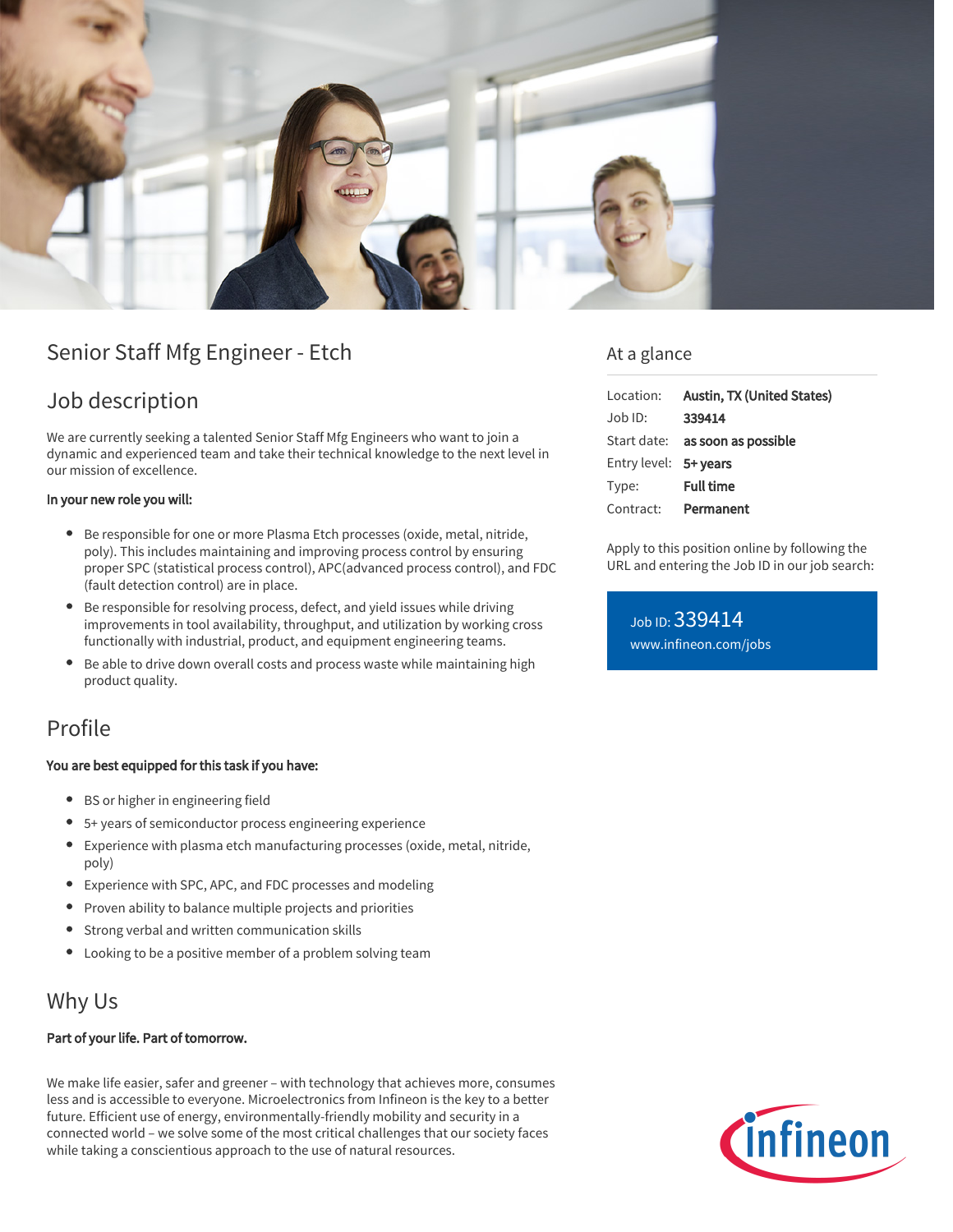

# Senior Staff Mfg Engineer - Etch

## Job description

We are currently seeking a talented Senior Staff Mfg Engineers who want to join a dynamic and experienced team and take their technical knowledge to the next level in our mission of excellence.

#### In your new role you will:

- Be responsible for one or more Plasma Etch processes (oxide, metal, nitride, poly). This includes maintaining and improving process control by ensuring proper SPC (statistical process control), APC(advanced process control), and FDC (fault detection control) are in place.
- Be responsible for resolving process, defect, and yield issues while driving improvements in tool availability, throughput, and utilization by working cross functionally with industrial, product, and equipment engineering teams.
- Be able to drive down overall costs and process waste while maintaining high product quality.

### Profile

#### You are best equipped for this task if you have:

- BS or higher in engineering field
- 5+ years of semiconductor process engineering experience
- Experience with plasma etch manufacturing processes (oxide, metal, nitride, poly)
- Experience with SPC, APC, and FDC processes and modeling
- Proven ability to balance multiple projects and priorities
- Strong verbal and written communication skills
- Looking to be a positive member of a problem solving team

### Why Us

#### Part of your life. Part of tomorrow.

We make life easier, safer and greener – with technology that achieves more, consumes less and is accessible to everyone. Microelectronics from Infineon is the key to a better future. Efficient use of energy, environmentally-friendly mobility and security in a connected world – we solve some of the most critical challenges that our society faces while taking a conscientious approach to the use of natural resources.

### At a glance

| Location:             | Austin, TX (United States)             |
|-----------------------|----------------------------------------|
| Job ID:               | 339414                                 |
|                       | Start date: <b>as soon as possible</b> |
| Entry level: 5+ years |                                        |
| Type:                 | <b>Full time</b>                       |
|                       | Contract: Permanent                    |

Apply to this position online by following the URL and entering the Job ID in our job search:

Job ID: 339414 [www.infineon.com/jobs](https://www.infineon.com/jobs)